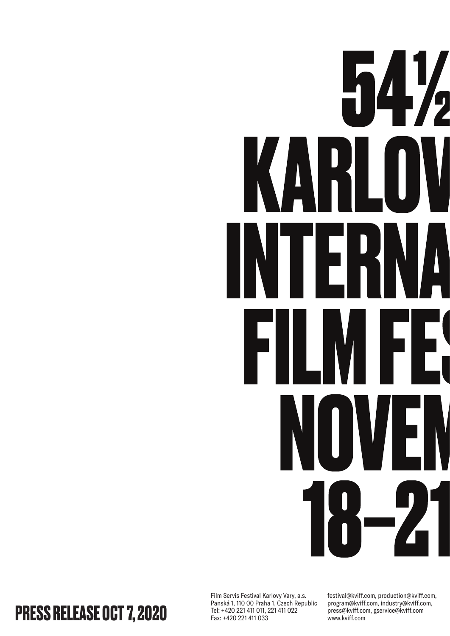# 54%  $\sqrt{}$ KARI **TERI**  $\overline{\phantom{a}}$ LM FE! FII EN  $-21$

# **PRESS RELEASE OCT 7, 2020** Tel: +420 221 411 011, 2

Film Servis Festival Karlovy Vary, a.s. Panská 1, 110 00 Praha 1, Čzech Republic<br>Tel: +420 221 411 011, 221 411 022 festival@kviff.com, production@kviff.com, program@kviff.com, industry@kviff.com, press@kviff.com, gservice@kviff.com www.kviff.com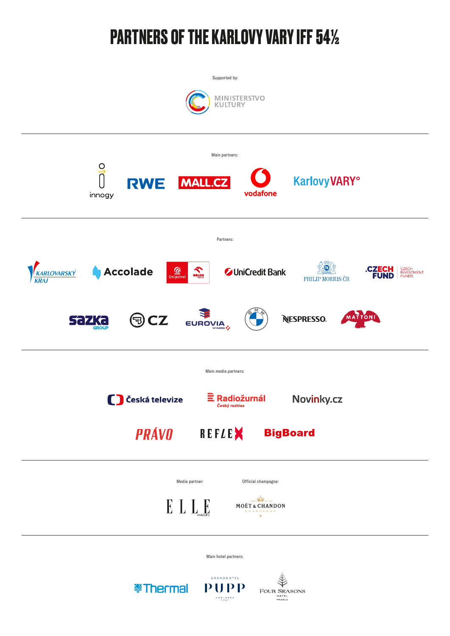# **PARTNERS OF THE KARLOVY VARY IFF 54½**

| Supported by:                                                                                                                                                                                                          |
|------------------------------------------------------------------------------------------------------------------------------------------------------------------------------------------------------------------------|
| <b>MINISTERSTVO</b><br><b>KULTURY</b>                                                                                                                                                                                  |
| Main partners:<br>$\int_{0}^{0}$<br><b>Karlovy VARY<sup>°</sup></b><br><b>MALL.CZ</b><br><b>RWE</b><br>vodafone<br>innogy                                                                                              |
| Partners:                                                                                                                                                                                                              |
| <b>.CZECH</b><br>$\sum_{\text{ORLEN}}$<br>CZECH<br>INVESTMENT<br>FUNDS<br><b>Accolade</b><br>$\mathcal{G}$ Unipetrol<br><b>JUniCredit Bank</b><br><b>KARLOVARSKÝ</b><br><b>FUND</b><br>PHILIP MORRIS ČR<br><b>KRAJ</b> |
| <b>NESPRESSO.</b><br>MATTONI<br>$\mathfrak{D}$ CZ<br>5226<br><b>EUROVIA</b><br>VINCI O<br><b>GROUF</b>                                                                                                                 |
| Main media partners:                                                                                                                                                                                                   |
| $\Xi$ Radiožurnál<br>Novinky.cz<br>Česká televize<br>$(\Box)$<br>Český rozhlas                                                                                                                                         |
| REFLEX<br><b>PRÁVO</b><br><b>BigBoard</b>                                                                                                                                                                              |
| Media partner:<br>Official champagne:                                                                                                                                                                                  |
| $\overbrace{\text{Fone}}^{\text{GMD}}$ as the<br>E L L<br><b>MOËT &amp; CHANDON</b><br>CHAMPAGNE<br>$\star$                                                                                                            |
| Main hotel partners:                                                                                                                                                                                                   |
| GRANDHOTEL<br><b>※Thermal</b><br>D<br><b>FOUR SEASONS</b><br>HOTEL<br>$\begin{array}{c}\n\texttt{C} \texttt{A} \texttt{R} \texttt{L} \texttt{S} \texttt{B} \texttt{A} \texttt{D} \\ + 7.0.1\n\end{array}$<br>PRAGUE    |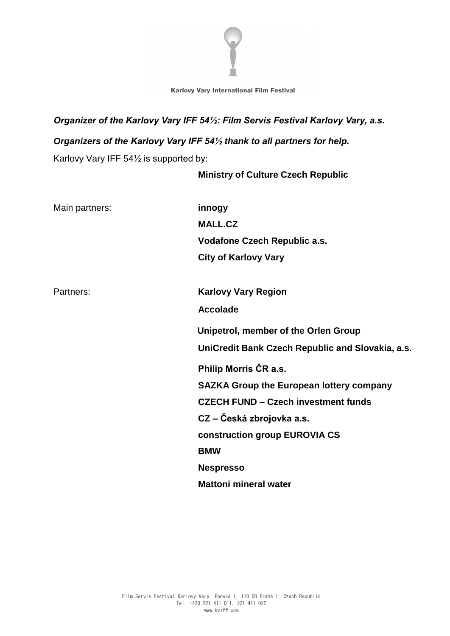

# *Organizer of the Karlovy Vary IFF 54½: Film Servis Festival Karlovy Vary, a.s.*

*Organizers of the Karlovy Vary IFF 54½ thank to all partners for help.*  Karlovy Vary IFF 54½ is supported by:

# **Ministry of Culture Czech Republic**

| Main partners: | innogy                                           |
|----------------|--------------------------------------------------|
|                | <b>MALL.CZ</b>                                   |
|                | Vodafone Czech Republic a.s.                     |
|                | <b>City of Karlovy Vary</b>                      |
| Partners:      | <b>Karlovy Vary Region</b>                       |
|                | <b>Accolade</b>                                  |
|                | Unipetrol, member of the Orlen Group             |
|                | UniCredit Bank Czech Republic and Slovakia, a.s. |
|                | Philip Morris ČR a.s.                            |
|                | <b>SAZKA Group the European lottery company</b>  |
|                | <b>CZECH FUND - Czech investment funds</b>       |
|                | CZ – Česká zbrojovka a.s.                        |
|                | construction group EUROVIA CS                    |
|                | <b>BMW</b>                                       |
|                | <b>Nespresso</b>                                 |
|                | <b>Mattoni mineral water</b>                     |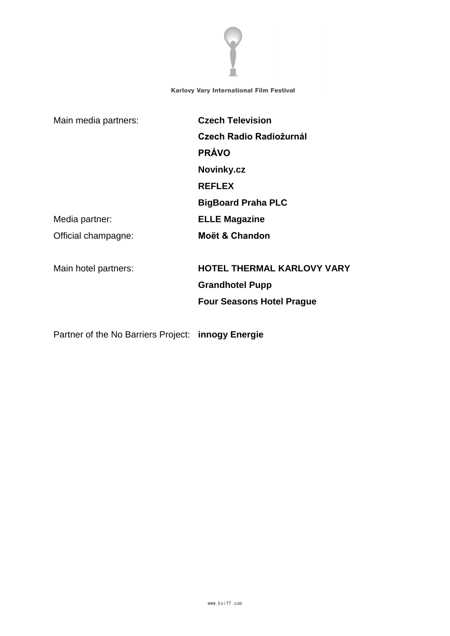

| Main media partners: | <b>Czech Television</b>          |
|----------------------|----------------------------------|
|                      | <b>Czech Radio Radiožurnál</b>   |
|                      | <b>PRÁVO</b>                     |
|                      | Novinky.cz                       |
|                      | <b>REFLEX</b>                    |
|                      | <b>BigBoard Praha PLC</b>        |
| Media partner:       | <b>ELLE Magazine</b>             |
| Official champagne:  | <b>Moët &amp; Chandon</b>        |
| Main hotel partners: | HOTEL THERMAL KARLOVY VARY       |
|                      | <b>Grandhotel Pupp</b>           |
|                      | <b>Four Seasons Hotel Prague</b> |
|                      |                                  |

Partner of the No Barriers Project: **innogy Energie**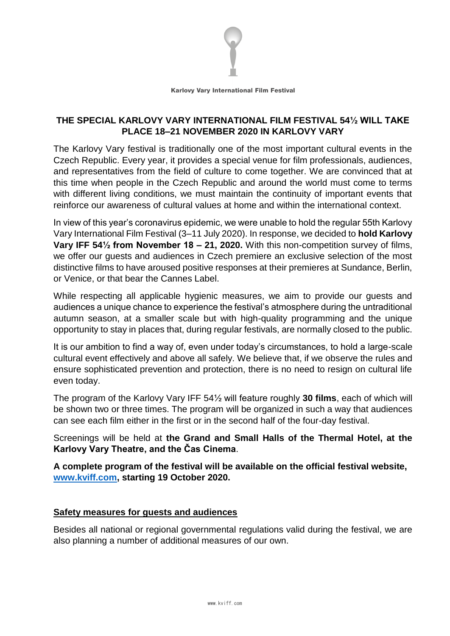

# **THE SPECIAL KARLOVY VARY INTERNATIONAL FILM FESTIVAL 54½ WILL TAKE PLACE 18–21 NOVEMBER 2020 IN KARLOVY VARY**

The Karlovy Vary festival is traditionally one of the most important cultural events in the Czech Republic. Every year, it provides a special venue for film professionals, audiences, and representatives from the field of culture to come together. We are convinced that at this time when people in the Czech Republic and around the world must come to terms with different living conditions, we must maintain the continuity of important events that reinforce our awareness of cultural values at home and within the international context.

In view of this year's coronavirus epidemic, we were unable to hold the regular 55th Karlovy Vary International Film Festival (3–11 July 2020). In response, we decided to **hold Karlovy Vary IFF 54½ from November 18 – 21, 2020.** With this non-competition survey of films, we offer our guests and audiences in Czech premiere an exclusive selection of the most distinctive films to have aroused positive responses at their premieres at Sundance, Berlin, or Venice, or that bear the Cannes Label.

While respecting all applicable hygienic measures, we aim to provide our guests and audiences a unique chance to experience the festival's atmosphere during the untraditional autumn season, at a smaller scale but with high-quality programming and the unique opportunity to stay in places that, during regular festivals, are normally closed to the public.

It is our ambition to find a way of, even under today's circumstances, to hold a large-scale cultural event effectively and above all safely. We believe that, if we observe the rules and ensure sophisticated prevention and protection, there is no need to resign on cultural life even today.

The program of the Karlovy Vary IFF 54½ will feature roughly **30 films**, each of which will be shown two or three times. The program will be organized in such a way that audiences can see each film either in the first or in the second half of the four-day festival.

Screenings will be held at **the Grand and Small Halls of the Thermal Hotel, at the Karlovy Vary Theatre, and the Čas Cinema**.

**A complete program of the festival will be available on the official festival website, [www.kviff.com,](http://www.kviff.com/) starting 19 October 2020.** 

# **Safety measures for guests and audiences**

Besides all national or regional governmental regulations valid during the festival, we are also planning a number of additional measures of our own.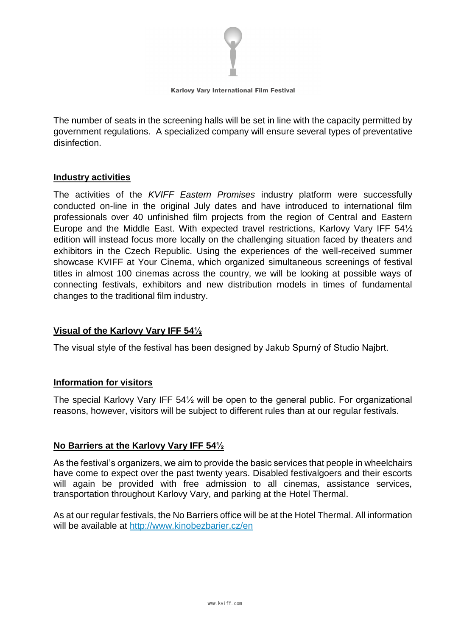

The number of seats in the screening halls will be set in line with the capacity permitted by government regulations. A specialized company will ensure several types of preventative disinfection.

### **Industry activities**

The activities of the *KVIFF Eastern Promises* industry platform were successfully conducted on-line in the original July dates and have introduced to international film professionals over 40 unfinished film projects from the region of Central and Eastern Europe and the Middle East. With expected travel restrictions, Karlovy Vary IFF 54½ edition will instead focus more locally on the challenging situation faced by theaters and exhibitors in the Czech Republic. Using the experiences of the well-received summer showcase KVIFF at Your Cinema, which organized simultaneous screenings of festival titles in almost 100 cinemas across the country, we will be looking at possible ways of connecting festivals, exhibitors and new distribution models in times of fundamental changes to the traditional film industry.

# **Visual of the Karlovy Vary IFF 54½**

The visual style of the festival has been designed by Jakub Spurný of Studio Najbrt.

# **Information for visitors**

The special Karlovy Vary IFF 54½ will be open to the general public. For organizational reasons, however, visitors will be subject to different rules than at our regular festivals.

# **No Barriers at the Karlovy Vary IFF 54½**

As the festival's organizers, we aim to provide the basic services that people in wheelchairs have come to expect over the past twenty years. Disabled festivalgoers and their escorts will again be provided with free admission to all cinemas, assistance services, transportation throughout Karlovy Vary, and parking at the Hotel Thermal.

As at our regular festivals, the No Barriers office will be at the Hotel Thermal. All information will be available at [http://www.kinobezbarier.cz/en](http://www.kinobezbarier.cz/en%E2%80%8B)